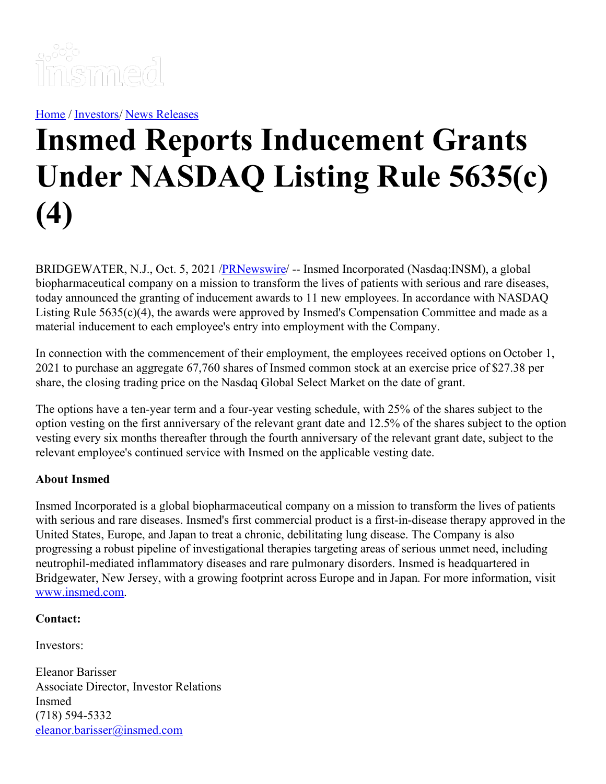

[Home](https://insmed.com/) / [Investors](https://investor.insmed.com/index)/ News [Releases](https://investor.insmed.com/releases)

## **Insmed Reports Inducement Grants Under NASDAQ Listing Rule 5635(c) (4)**

BRIDGEWATER, N.J., Oct. 5, 2021 /**PRNewswire/** -- Insmed Incorporated (Nasdaq:INSM), a global biopharmaceutical company on a mission to transform the lives of patients with serious and rare diseases, today announced the granting of inducement awards to 11 new employees. In accordance with NASDAQ Listing Rule 5635(c)(4), the awards were approved by Insmed's Compensation Committee and made as a material inducement to each employee's entry into employment with the Company.

In connection with the commencement of their employment, the employees received options on October 1, 2021 to purchase an aggregate 67,760 shares of Insmed common stock at an exercise price of \$27.38 per share, the closing trading price on the Nasdaq Global Select Market on the date of grant.

The options have a ten-year term and a four-year vesting schedule, with 25% of the shares subject to the option vesting on the first anniversary of the relevant grant date and 12.5% of the shares subject to the option vesting every six months thereafter through the fourth anniversary of the relevant grant date, subject to the relevant employee's continued service with Insmed on the applicable vesting date.

## **About Insmed**

Insmed Incorporated is a global biopharmaceutical company on a mission to transform the lives of patients with serious and rare diseases. Insmed's first commercial product is a first-in-disease therapy approved in the United States, Europe, and Japan to treat a chronic, debilitating lung disease. The Company is also progressing a robust pipeline of investigational therapies targeting areas of serious unmet need, including neutrophil-mediated inflammatory diseases and rare pulmonary disorders. Insmed is headquartered in Bridgewater, New Jersey, with a growing footprint across Europe and in Japan. For more information, visit [www.insmed.com](https://c212.net/c/link/?t=0&l=en&o=3311491-1&h=2594313554&u=http%3A%2F%2Fwww.insmed.com%2F&a=www.insmed.com).

## **Contact:**

Investors:

Eleanor Barisser Associate Director, Investor Relations Insmed (718) 594-5332 [eleanor.barisser@insmed.com](mailto:eleanor.barisser@insmed.com)